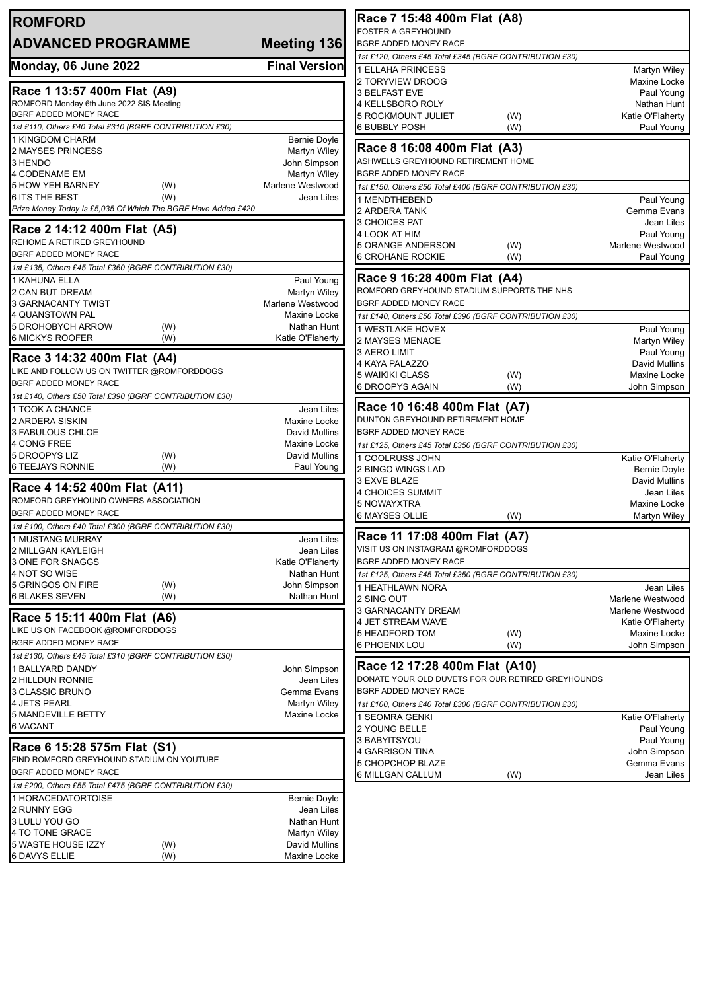| <b>ROMFORD</b>                                                                   |                                         | Race 7 15:48 400m Flat (A8)                                 |                                            |  |
|----------------------------------------------------------------------------------|-----------------------------------------|-------------------------------------------------------------|--------------------------------------------|--|
| <b>ADVANCED PROGRAMME</b>                                                        | Meeting 136                             | <b>FOSTER A GREYHOUND</b><br>BGRF ADDED MONEY RACE          |                                            |  |
|                                                                                  |                                         | 1st £120, Others £45 Total £345 (BGRF CONTRIBUTION £30)     |                                            |  |
| Monday, 06 June 2022                                                             | <b>Final Version</b>                    | 1 ELLAHA PRINCESS                                           | Martyn Wiley                               |  |
|                                                                                  |                                         | 2 TORYVIEW DROOG                                            | Maxine Locke                               |  |
| Race 1 13:57 400m Flat (A9)                                                      |                                         | <b>3 BELFAST EVE</b>                                        | Paul Young                                 |  |
| ROMFORD Monday 6th June 2022 SIS Meeting<br>BGRF ADDED MONEY RACE                |                                         | 4 KELLSBORO ROLY<br><b>5 ROCKMOUNT JULIET</b>               | Nathan Hunt<br>Katie O'Flaherty<br>(W)     |  |
| 1st £110, Others £40 Total £310 (BGRF CONTRIBUTION £30)                          |                                         | <b>6 BUBBLY POSH</b>                                        | (W)<br>Paul Young                          |  |
| 1 KINGDOM CHARM                                                                  | <b>Bernie Doyle</b>                     |                                                             |                                            |  |
| 2 MAYSES PRINCESS                                                                | <b>Martyn Wiley</b>                     | Race 8 16:08 400m Flat (A3)                                 |                                            |  |
| 3 HENDO                                                                          | John Simpson                            | ASHWELLS GREYHOUND RETIREMENT HOME                          |                                            |  |
| 4 CODENAME EM<br><b>5 HOW YEH BARNEY</b>                                         | <b>Martyn Wiley</b><br>Marlene Westwood | BGRF ADDED MONEY RACE                                       |                                            |  |
| (W)<br><b>6 ITS THE BEST</b><br>(W)                                              | Jean Liles                              | 1st £150, Others £50 Total £400 (BGRF CONTRIBUTION £30)     |                                            |  |
| Prize Money Today Is £5,035 Of Which The BGRF Have Added £420                    |                                         | 1 MENDTHEBEND<br>2 ARDERA TANK                              | Paul Young<br>Gemma Evans                  |  |
|                                                                                  |                                         | 3 CHOICES PAT                                               | Jean Liles                                 |  |
| Race 2 14:12 400m Flat (A5)                                                      |                                         | 4 LOOK AT HIM                                               | Paul Young                                 |  |
| REHOME A RETIRED GREYHOUND<br><b>BGRF ADDED MONEY RACE</b>                       |                                         | <b>5 ORANGE ANDERSON</b>                                    | Marlene Westwood<br>(W)                    |  |
| 1st £135, Others £45 Total £360 (BGRF CONTRIBUTION £30)                          |                                         | 6 CROHANE ROCKIE                                            | (W)<br>Paul Young                          |  |
| 1 KAHUNA ELLA                                                                    | Paul Young                              | Race 9 16:28 400m Flat (A4)                                 |                                            |  |
| 2 CAN BUT DREAM                                                                  | <b>Martyn Wiley</b>                     | ROMFORD GREYHOUND STADIUM SUPPORTS THE NHS                  |                                            |  |
| 3 GARNACANTY TWIST                                                               | Marlene Westwood                        | BGRF ADDED MONEY RACE                                       |                                            |  |
| 4 QUANSTOWN PAL                                                                  | <b>Maxine Locke</b>                     | 1st £140, Others £50 Total £390 (BGRF CONTRIBUTION £30)     |                                            |  |
| 5 DROHOBYCH ARROW<br>(W)<br>6 MICKYS ROOFER                                      | Nathan Hunt                             | 1 WESTLAKE HOVEX                                            | Paul Young                                 |  |
| (W)                                                                              | Katie O'Flaherty                        | 2 MAYSES MENACE                                             | Martyn Wiley                               |  |
| Race 3 14:32 400m Flat (A4)                                                      |                                         | 3 AERO LIMIT<br>4 KAYA PALAZZO                              | Paul Young<br>David Mullins                |  |
| LIKE AND FOLLOW US ON TWITTER @ROMFORDDOGS                                       |                                         | 5 WAIKIKI GLASS                                             | (W)<br>Maxine Locke                        |  |
| BGRF ADDED MONEY RACE                                                            |                                         | 6 DROOPYS AGAIN                                             | (W)<br>John Simpson                        |  |
| 1st £140, Others £50 Total £390 (BGRF CONTRIBUTION £30)                          |                                         | Race 10 16:48 400m Flat (A7)                                |                                            |  |
| 1 TOOK A CHANCE                                                                  | Jean Liles                              | DUNTON GREYHOUND RETIREMENT HOME                            |                                            |  |
| 2 ARDERA SISKIN<br>3 FABULOUS CHLOE                                              | Maxine Locke<br><b>David Mullins</b>    | BGRF ADDED MONEY RACE                                       |                                            |  |
| 4 CONG FREE                                                                      | Maxine Locke                            | 1st £125, Others £45 Total £350 (BGRF CONTRIBUTION £30)     |                                            |  |
| 5 DROOPYS LIZ<br>(W)                                                             | David Mullins                           | 1 COOLRUSS JOHN                                             | Katie O'Flaherty                           |  |
| 6 TEEJAYS RONNIE<br>(W)                                                          | Paul Young                              | 2 BINGO WINGS LAD                                           | <b>Bernie Doyle</b>                        |  |
| Race 4 14:52 400m Flat (A11)                                                     |                                         | 3 EXVE BLAZE                                                | David Mullins                              |  |
| ROMFORD GREYHOUND OWNERS ASSOCIATION                                             |                                         | <b>4 CHOICES SUMMIT</b><br>5 NOWAYXTRA                      | Jean Liles<br>Maxine Locke                 |  |
| BGRF ADDED MONEY RACE                                                            |                                         | <b>6 MAYSES OLLIE</b>                                       | (W)<br><b>Martyn Wiley</b>                 |  |
| 1st £100, Others £40 Total £300 (BGRF CONTRIBUTION £30)                          |                                         |                                                             |                                            |  |
| 1 MUSTANG MURRAY                                                                 | Jean Liles                              | Race 11 17:08 400m Flat (A7)                                |                                            |  |
| 2 MILLGAN KAYLEIGH                                                               | Jean Liles                              | VISIT US ON INSTAGRAM @ROMFORDDOGS<br>BGRF ADDED MONEY RACE |                                            |  |
| 3 ONE FOR SNAGGS<br>4 NOT SO WISE                                                | Katie O'Flaherty<br>Nathan Hunt         | 1st £125, Others £45 Total £350 (BGRF CONTRIBUTION £30)     |                                            |  |
| 5 GRINGOS ON FIRE<br>(W)                                                         | John Simpson                            | 1 HEATHLAWN NORA                                            | Jean Liles                                 |  |
| <b>6 BLAKES SEVEN</b><br>(W)                                                     | Nathan Hunt                             | 2 SING OUT                                                  | Marlene Westwood                           |  |
|                                                                                  |                                         | 3 GARNACANTY DREAM                                          | Marlene Westwood                           |  |
| Race 5 15:11 400m Flat (A6)<br>LIKE US ON FACEBOOK @ROMFORDDOGS                  |                                         | 4 JET STREAM WAVE                                           | Katie O'Flaherty                           |  |
| <b>BGRF ADDED MONEY RACE</b>                                                     |                                         | 5 HEADFORD TOM<br>6 PHOENIX LOU                             | Maxine Locke<br>(W)<br>(W)<br>John Simpson |  |
| 1st £130, Others £45 Total £310 (BGRF CONTRIBUTION £30)                          |                                         |                                                             |                                            |  |
| 1 BALLYARD DANDY                                                                 | John Simpson                            | Race 12 17:28 400m Flat (A10)                               |                                            |  |
| 2 HILLDUN RONNIE                                                                 | Jean Liles                              | DONATE YOUR OLD DUVETS FOR OUR RETIRED GREYHOUNDS           |                                            |  |
| 3 CLASSIC BRUNO                                                                  | Gemma Evans                             | BGRF ADDED MONEY RACE                                       |                                            |  |
| 4 JETS PEARL<br><b>5 MANDEVILLE BETTY</b>                                        | Martyn Wiley<br>Maxine Locke            | 1st £100, Others £40 Total £300 (BGRF CONTRIBUTION £30)     |                                            |  |
| <b>6 VACANT</b>                                                                  |                                         | 1 SEOMRA GENKI<br>2 YOUNG BELLE                             | Katie O'Flaherty<br>Paul Young             |  |
|                                                                                  |                                         | 3 BABYITSYOU                                                | Paul Young                                 |  |
| Race 6 15:28 575m Flat (S1)                                                      |                                         | 4 GARRISON TINA                                             | John Simpson                               |  |
| FIND ROMFORD GREYHOUND STADIUM ON YOUTUBE                                        |                                         | 5 CHOPCHOP BLAZE                                            | Gemma Evans                                |  |
| BGRF ADDED MONEY RACE<br>1st £200, Others £55 Total £475 (BGRF CONTRIBUTION £30) |                                         | 6 MILLGAN CALLUM                                            | Jean Liles<br>(W)                          |  |
| 1 HORACEDATORTOISE                                                               | <b>Bernie Doyle</b>                     |                                                             |                                            |  |
| 2 RUNNY EGG                                                                      | Jean Liles                              |                                                             |                                            |  |
| 3 LULU YOU GO                                                                    | Nathan Hunt                             |                                                             |                                            |  |
| 4 TO TONE GRACE                                                                  | Martyn Wiley                            |                                                             |                                            |  |
| 5 WASTE HOUSE IZZY<br>(W)                                                        | David Mullins                           |                                                             |                                            |  |
| 6 DAVYS ELLIE<br>(W)                                                             | Maxine Locke                            |                                                             |                                            |  |